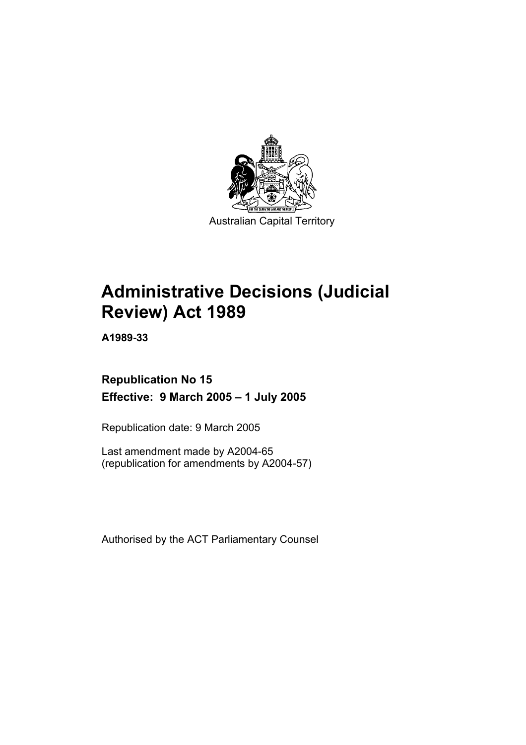

Australian Capital Territory

# **Administrative Decisions (Judicial Review) Act 1989**

**A1989-33** 

# **Republication No 15 Effective: 9 March 2005 – 1 July 2005**

Republication date: 9 March 2005

Last amendment made by A2004-65 (republication for amendments by A2004-57)

Authorised by the ACT Parliamentary Counsel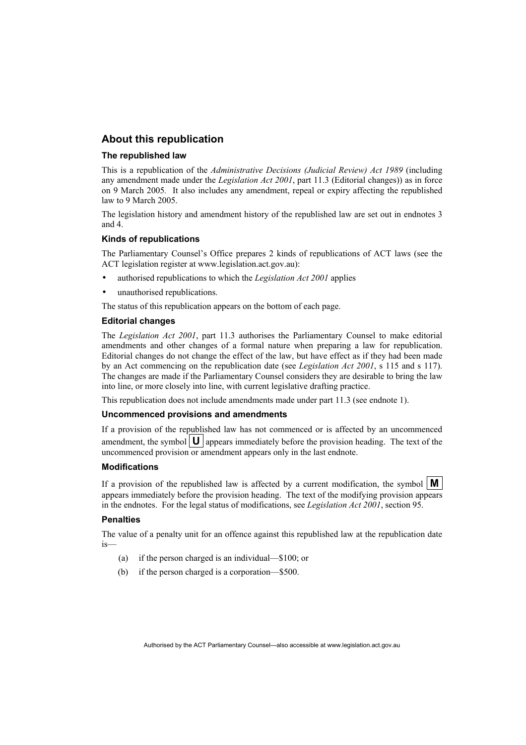# **About this republication**

### **The republished law**

This is a republication of the *Administrative Decisions (Judicial Review) Act 1989* (including any amendment made under the *Legislation Act 2001*, part 11.3 (Editorial changes)) as in force on 9 March 2005*.* It also includes any amendment, repeal or expiry affecting the republished law to 9 March 2005.

The legislation history and amendment history of the republished law are set out in endnotes 3 and 4.

### **Kinds of republications**

The Parliamentary Counsel's Office prepares 2 kinds of republications of ACT laws (see the ACT legislation register at www.legislation.act.gov.au):

- authorised republications to which the *Legislation Act 2001* applies
- unauthorised republications.

The status of this republication appears on the bottom of each page.

### **Editorial changes**

The *Legislation Act 2001*, part 11.3 authorises the Parliamentary Counsel to make editorial amendments and other changes of a formal nature when preparing a law for republication. Editorial changes do not change the effect of the law, but have effect as if they had been made by an Act commencing on the republication date (see *Legislation Act 2001*, s 115 and s 117). The changes are made if the Parliamentary Counsel considers they are desirable to bring the law into line, or more closely into line, with current legislative drafting practice.

This republication does not include amendments made under part 11.3 (see endnote 1).

### **Uncommenced provisions and amendments**

If a provision of the republished law has not commenced or is affected by an uncommenced amendment, the symbol  $\mathbf{U}$  appears immediately before the provision heading. The text of the uncommenced provision or amendment appears only in the last endnote.

### **Modifications**

If a provision of the republished law is affected by a current modification, the symbol  $\mathbf{M}$ appears immediately before the provision heading. The text of the modifying provision appears in the endnotes. For the legal status of modifications, see *Legislation Act 2001*, section 95.

### **Penalties**

The value of a penalty unit for an offence against this republished law at the republication date is—

- (a) if the person charged is an individual—\$100; or
- (b) if the person charged is a corporation—\$500.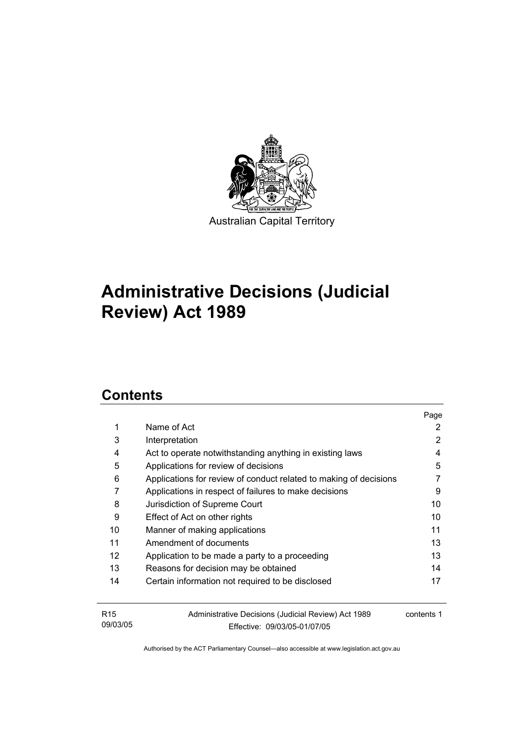

# **Administrative Decisions (Judicial Review) Act 1989**

# **Contents**

|                   |                                                                   | Page       |
|-------------------|-------------------------------------------------------------------|------------|
| 1                 | Name of Act                                                       | 2          |
| 3                 | Interpretation                                                    | 2          |
| 4                 | Act to operate notwithstanding anything in existing laws          | 4          |
| 5                 | Applications for review of decisions                              | 5          |
| 6                 | Applications for review of conduct related to making of decisions |            |
| 7                 | Applications in respect of failures to make decisions             | 9          |
| 8                 | Jurisdiction of Supreme Court                                     | 10         |
| 9                 | Effect of Act on other rights                                     | 10         |
| 10                | Manner of making applications                                     | 11         |
| 11                | Amendment of documents                                            | 13         |
| $12 \overline{ }$ | Application to be made a party to a proceeding                    | 13         |
| 13                | Reasons for decision may be obtained                              | 14         |
| 14                | Certain information not required to be disclosed                  | 17         |
|                   |                                                                   |            |
| R <sub>15</sub>   | Administrative Decisions (Judicial Review) Act 1989               | contents 1 |
| 09/03/05          | Effective: 09/03/05-01/07/05                                      |            |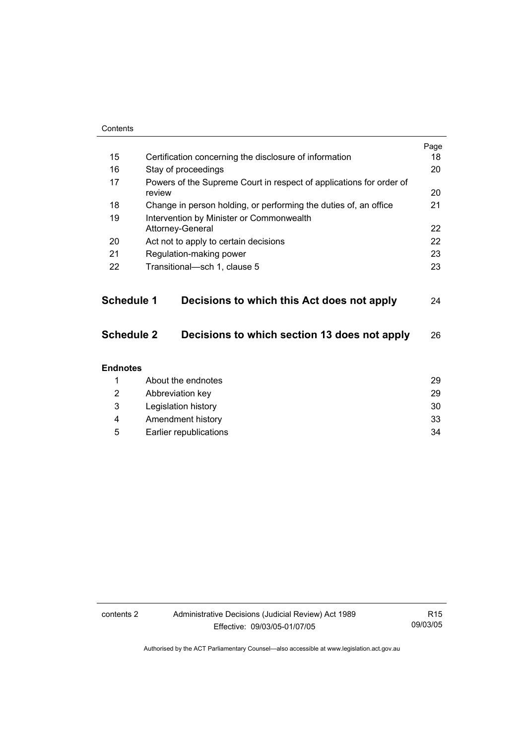| Contents          |                                                                               |      |
|-------------------|-------------------------------------------------------------------------------|------|
|                   |                                                                               | Page |
| 15                | Certification concerning the disclosure of information                        | 18   |
| 16                | Stay of proceedings                                                           | 20   |
| 17                | Powers of the Supreme Court in respect of applications for order of<br>review | 20   |
| 18                | Change in person holding, or performing the duties of, an office              | 21   |
| 19                | Intervention by Minister or Commonwealth<br>Attorney-General                  | 22   |
| 20                | Act not to apply to certain decisions                                         | 22   |
| 21                | Regulation-making power                                                       | 23   |
| 22                | Transitional-sch 1, clause 5                                                  | 23   |
| Schedule 1        | Decisions to which this Act does not apply                                    | 24   |
| <b>Schedule 2</b> | Decisions to which section 13 does not apply                                  | 26   |
| <b>Endnotes</b>   |                                                                               |      |
| 1                 | About the endnotes                                                            | 29   |
| 2                 | Abbreviation key                                                              | 29   |
| 3                 | Legislation history                                                           | 30   |
| 4                 | Amendment history                                                             | 33   |
| 5                 | Earlier republications                                                        | 34   |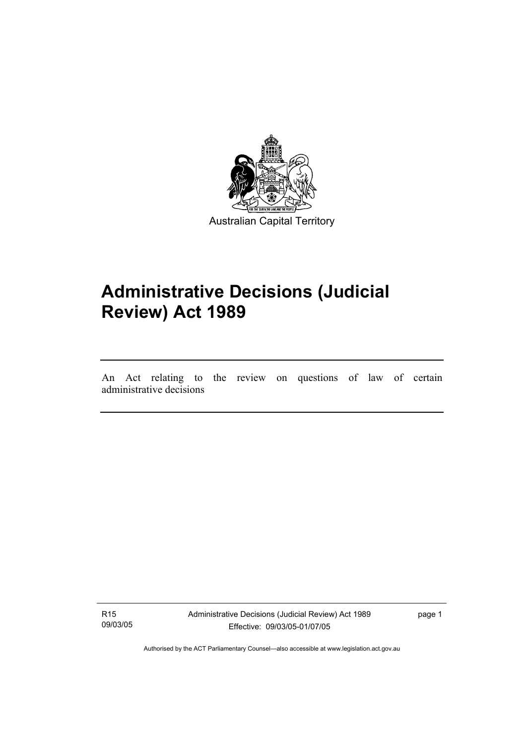

# **Administrative Decisions (Judicial Review) Act 1989**

An Act relating to the review on questions of law of certain administrative decisions

R15 09/03/05

I

Administrative Decisions (Judicial Review) Act 1989 Effective: 09/03/05-01/07/05

page 1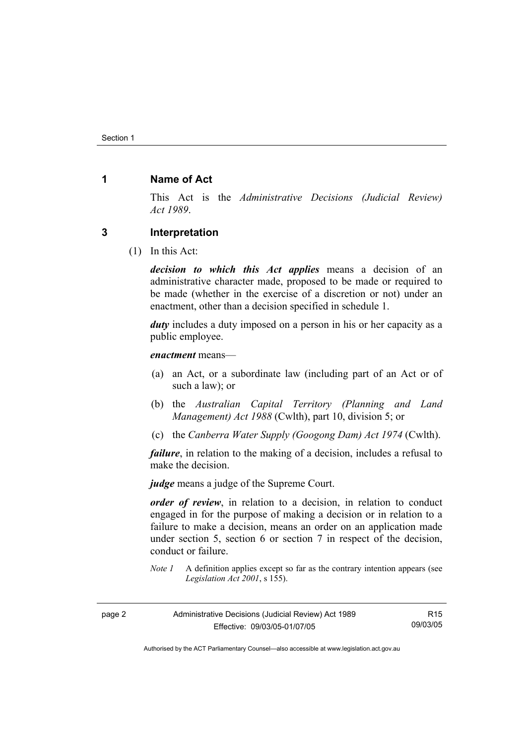# **1 Name of Act**

This Act is the *Administrative Decisions (Judicial Review) Act 1989*.

## **3 Interpretation**

(1) In this Act:

*decision to which this Act applies* means a decision of an administrative character made, proposed to be made or required to be made (whether in the exercise of a discretion or not) under an enactment, other than a decision specified in schedule 1.

*duty* includes a duty imposed on a person in his or her capacity as a public employee.

*enactment* means—

- (a) an Act, or a subordinate law (including part of an Act or of such a law); or
- (b) the *Australian Capital Territory (Planning and Land Management) Act 1988* (Cwlth), part 10, division 5; or
- (c) the *Canberra Water Supply (Googong Dam) Act 1974* (Cwlth).

*failure*, in relation to the making of a decision, includes a refusal to make the decision.

*judge* means a judge of the Supreme Court.

*order of review*, in relation to a decision, in relation to conduct engaged in for the purpose of making a decision or in relation to a failure to make a decision, means an order on an application made under section 5, section 6 or section 7 in respect of the decision, conduct or failure.

*Note 1* A definition applies except so far as the contrary intention appears (see *Legislation Act 2001*, s 155).

| page 2 | Administrative Decisions (Judicial Review) Act 1989 | R <sub>15</sub> |
|--------|-----------------------------------------------------|-----------------|
|        | Effective: 09/03/05-01/07/05                        | 09/03/05        |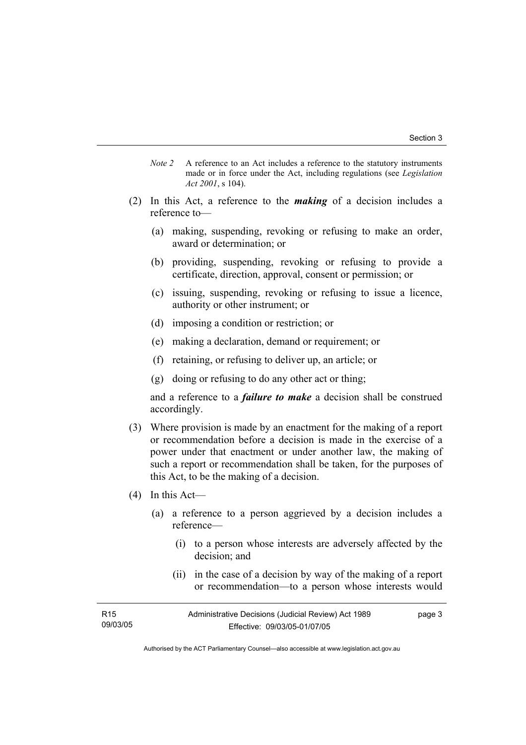- *Note 2* A reference to an Act includes a reference to the statutory instruments made or in force under the Act, including regulations (see *Legislation Act 2001*, s 104).
- (2) In this Act, a reference to the *making* of a decision includes a reference to—
	- (a) making, suspending, revoking or refusing to make an order, award or determination; or
	- (b) providing, suspending, revoking or refusing to provide a certificate, direction, approval, consent or permission; or
	- (c) issuing, suspending, revoking or refusing to issue a licence, authority or other instrument; or
	- (d) imposing a condition or restriction; or
	- (e) making a declaration, demand or requirement; or
	- (f) retaining, or refusing to deliver up, an article; or
	- (g) doing or refusing to do any other act or thing;

and a reference to a *failure to make* a decision shall be construed accordingly.

- (3) Where provision is made by an enactment for the making of a report or recommendation before a decision is made in the exercise of a power under that enactment or under another law, the making of such a report or recommendation shall be taken, for the purposes of this Act, to be the making of a decision.
- (4) In this Act—
	- (a) a reference to a person aggrieved by a decision includes a reference—
		- (i) to a person whose interests are adversely affected by the decision; and
		- (ii) in the case of a decision by way of the making of a report or recommendation—to a person whose interests would

| R <sub>15</sub> | Administrative Decisions (Judicial Review) Act 1989 | page 3 |
|-----------------|-----------------------------------------------------|--------|
| 09/03/05        | Effective: 09/03/05-01/07/05                        |        |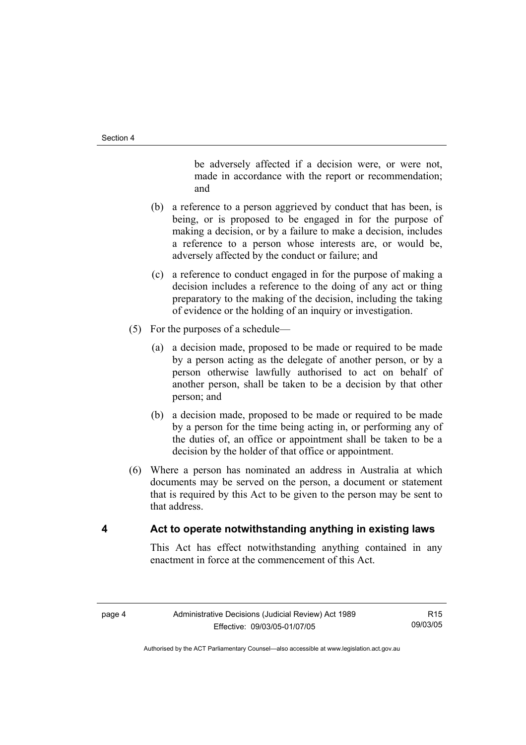be adversely affected if a decision were, or were not, made in accordance with the report or recommendation; and

- (b) a reference to a person aggrieved by conduct that has been, is being, or is proposed to be engaged in for the purpose of making a decision, or by a failure to make a decision, includes a reference to a person whose interests are, or would be, adversely affected by the conduct or failure; and
- (c) a reference to conduct engaged in for the purpose of making a decision includes a reference to the doing of any act or thing preparatory to the making of the decision, including the taking of evidence or the holding of an inquiry or investigation.
- (5) For the purposes of a schedule—
	- (a) a decision made, proposed to be made or required to be made by a person acting as the delegate of another person, or by a person otherwise lawfully authorised to act on behalf of another person, shall be taken to be a decision by that other person; and
	- (b) a decision made, proposed to be made or required to be made by a person for the time being acting in, or performing any of the duties of, an office or appointment shall be taken to be a decision by the holder of that office or appointment.
- (6) Where a person has nominated an address in Australia at which documents may be served on the person, a document or statement that is required by this Act to be given to the person may be sent to that address.

# **4 Act to operate notwithstanding anything in existing laws**

This Act has effect notwithstanding anything contained in any enactment in force at the commencement of this Act.

R15 09/03/05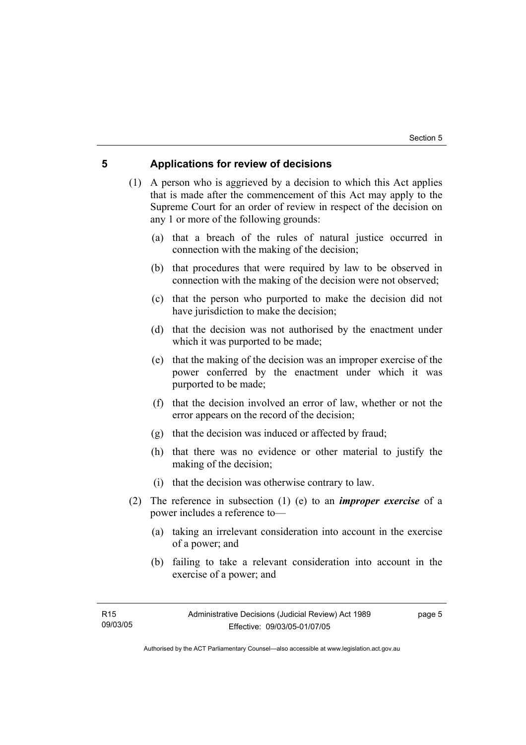# **5 Applications for review of decisions**

 (1) A person who is aggrieved by a decision to which this Act applies that is made after the commencement of this Act may apply to the Supreme Court for an order of review in respect of the decision on any 1 or more of the following grounds:

- (a) that a breach of the rules of natural justice occurred in connection with the making of the decision;
- (b) that procedures that were required by law to be observed in connection with the making of the decision were not observed;
- (c) that the person who purported to make the decision did not have jurisdiction to make the decision;
- (d) that the decision was not authorised by the enactment under which it was purported to be made;
- (e) that the making of the decision was an improper exercise of the power conferred by the enactment under which it was purported to be made;
- (f) that the decision involved an error of law, whether or not the error appears on the record of the decision;
- (g) that the decision was induced or affected by fraud;
- (h) that there was no evidence or other material to justify the making of the decision;
- (i) that the decision was otherwise contrary to law.
- (2) The reference in subsection (1) (e) to an *improper exercise* of a power includes a reference to—
	- (a) taking an irrelevant consideration into account in the exercise of a power; and
	- (b) failing to take a relevant consideration into account in the exercise of a power; and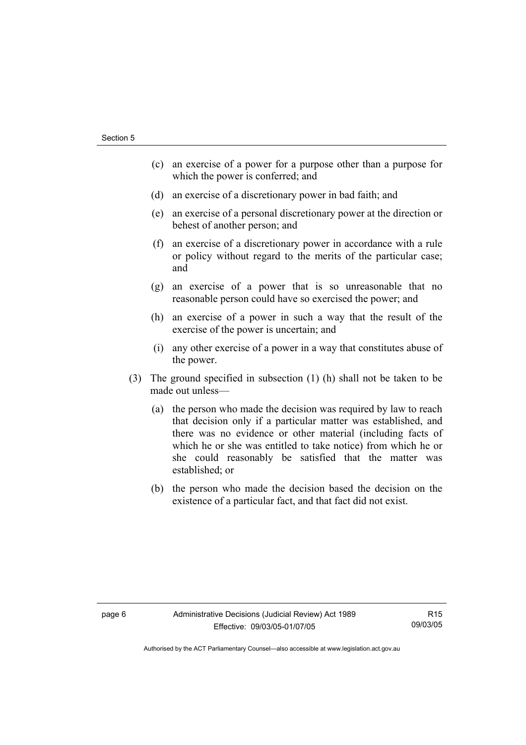- (c) an exercise of a power for a purpose other than a purpose for which the power is conferred; and
- (d) an exercise of a discretionary power in bad faith; and
- (e) an exercise of a personal discretionary power at the direction or behest of another person; and
- (f) an exercise of a discretionary power in accordance with a rule or policy without regard to the merits of the particular case; and
- (g) an exercise of a power that is so unreasonable that no reasonable person could have so exercised the power; and
- (h) an exercise of a power in such a way that the result of the exercise of the power is uncertain; and
- (i) any other exercise of a power in a way that constitutes abuse of the power.
- (3) The ground specified in subsection (1) (h) shall not be taken to be made out unless—
	- (a) the person who made the decision was required by law to reach that decision only if a particular matter was established, and there was no evidence or other material (including facts of which he or she was entitled to take notice) from which he or she could reasonably be satisfied that the matter was established; or
	- (b) the person who made the decision based the decision on the existence of a particular fact, and that fact did not exist.

R15 09/03/05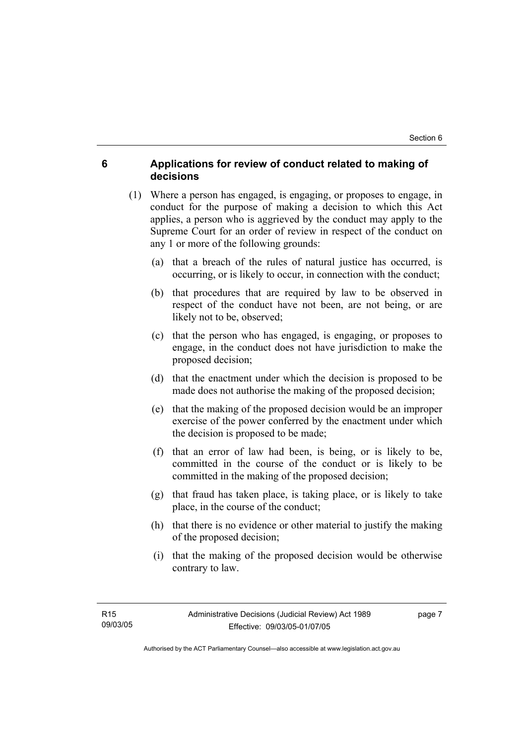# **6 Applications for review of conduct related to making of decisions**

- (1) Where a person has engaged, is engaging, or proposes to engage, in conduct for the purpose of making a decision to which this Act applies, a person who is aggrieved by the conduct may apply to the Supreme Court for an order of review in respect of the conduct on any 1 or more of the following grounds:
	- (a) that a breach of the rules of natural justice has occurred, is occurring, or is likely to occur, in connection with the conduct;
	- (b) that procedures that are required by law to be observed in respect of the conduct have not been, are not being, or are likely not to be, observed;
	- (c) that the person who has engaged, is engaging, or proposes to engage, in the conduct does not have jurisdiction to make the proposed decision;
	- (d) that the enactment under which the decision is proposed to be made does not authorise the making of the proposed decision;
	- (e) that the making of the proposed decision would be an improper exercise of the power conferred by the enactment under which the decision is proposed to be made;
	- (f) that an error of law had been, is being, or is likely to be, committed in the course of the conduct or is likely to be committed in the making of the proposed decision;
	- (g) that fraud has taken place, is taking place, or is likely to take place, in the course of the conduct;
	- (h) that there is no evidence or other material to justify the making of the proposed decision;
	- (i) that the making of the proposed decision would be otherwise contrary to law.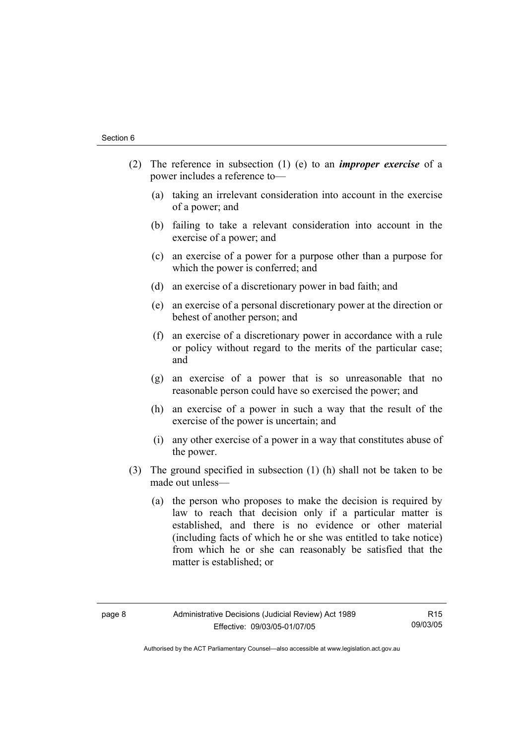- (2) The reference in subsection (1) (e) to an *improper exercise* of a power includes a reference to—
	- (a) taking an irrelevant consideration into account in the exercise of a power; and
	- (b) failing to take a relevant consideration into account in the exercise of a power; and
	- (c) an exercise of a power for a purpose other than a purpose for which the power is conferred; and
	- (d) an exercise of a discretionary power in bad faith; and
	- (e) an exercise of a personal discretionary power at the direction or behest of another person; and
	- (f) an exercise of a discretionary power in accordance with a rule or policy without regard to the merits of the particular case; and
	- (g) an exercise of a power that is so unreasonable that no reasonable person could have so exercised the power; and
	- (h) an exercise of a power in such a way that the result of the exercise of the power is uncertain; and
	- (i) any other exercise of a power in a way that constitutes abuse of the power.
- (3) The ground specified in subsection (1) (h) shall not be taken to be made out unless—
	- (a) the person who proposes to make the decision is required by law to reach that decision only if a particular matter is established, and there is no evidence or other material (including facts of which he or she was entitled to take notice) from which he or she can reasonably be satisfied that the matter is established; or

R15 09/03/05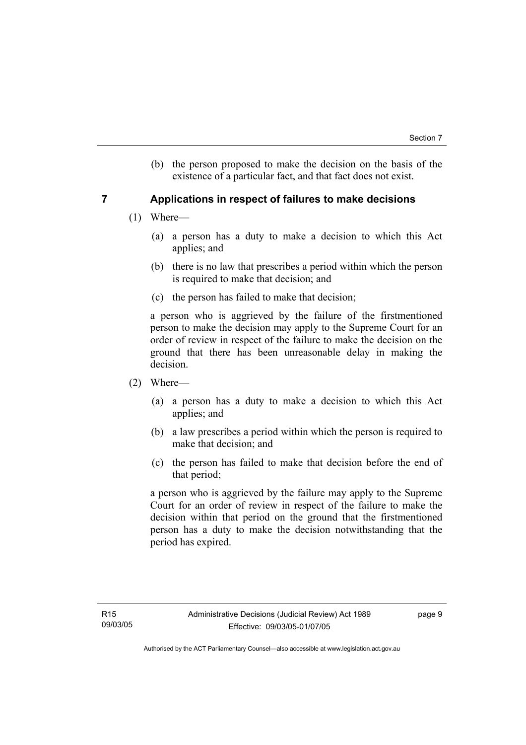(b) the person proposed to make the decision on the basis of the existence of a particular fact, and that fact does not exist.

# **7 Applications in respect of failures to make decisions**

- (1) Where—
	- (a) a person has a duty to make a decision to which this Act applies; and
	- (b) there is no law that prescribes a period within which the person is required to make that decision; and
	- (c) the person has failed to make that decision;

a person who is aggrieved by the failure of the firstmentioned person to make the decision may apply to the Supreme Court for an order of review in respect of the failure to make the decision on the ground that there has been unreasonable delay in making the decision.

- (2) Where—
	- (a) a person has a duty to make a decision to which this Act applies; and
	- (b) a law prescribes a period within which the person is required to make that decision; and
	- (c) the person has failed to make that decision before the end of that period;

a person who is aggrieved by the failure may apply to the Supreme Court for an order of review in respect of the failure to make the decision within that period on the ground that the firstmentioned person has a duty to make the decision notwithstanding that the period has expired.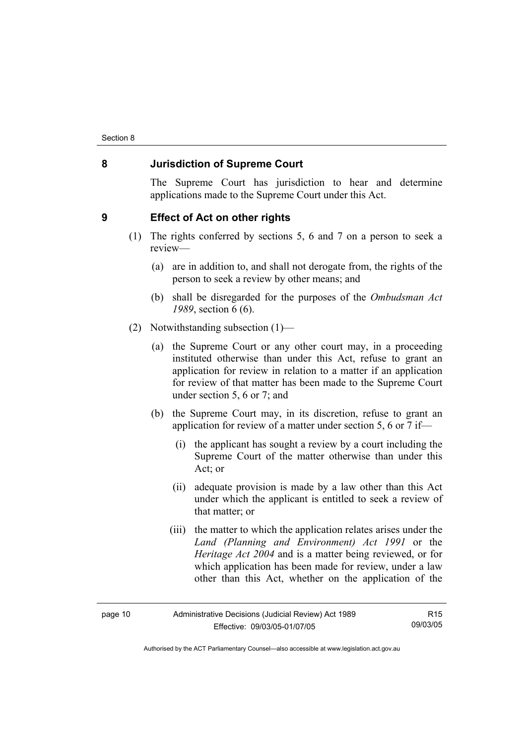# **8 Jurisdiction of Supreme Court**

The Supreme Court has jurisdiction to hear and determine applications made to the Supreme Court under this Act.

### **9 Effect of Act on other rights**

- (1) The rights conferred by sections 5, 6 and 7 on a person to seek a review—
	- (a) are in addition to, and shall not derogate from, the rights of the person to seek a review by other means; and
	- (b) shall be disregarded for the purposes of the *Ombudsman Act 1989*, section 6 (6).
- (2) Notwithstanding subsection (1)—
	- (a) the Supreme Court or any other court may, in a proceeding instituted otherwise than under this Act, refuse to grant an application for review in relation to a matter if an application for review of that matter has been made to the Supreme Court under section 5, 6 or 7; and
	- (b) the Supreme Court may, in its discretion, refuse to grant an application for review of a matter under section 5, 6 or 7 if—
		- (i) the applicant has sought a review by a court including the Supreme Court of the matter otherwise than under this Act; or
		- (ii) adequate provision is made by a law other than this Act under which the applicant is entitled to seek a review of that matter; or
		- (iii) the matter to which the application relates arises under the *Land (Planning and Environment) Act 1991* or the *Heritage Act 2004* and is a matter being reviewed, or for which application has been made for review, under a law other than this Act, whether on the application of the

| page 10 |  |
|---------|--|
|---------|--|

R15 09/03/05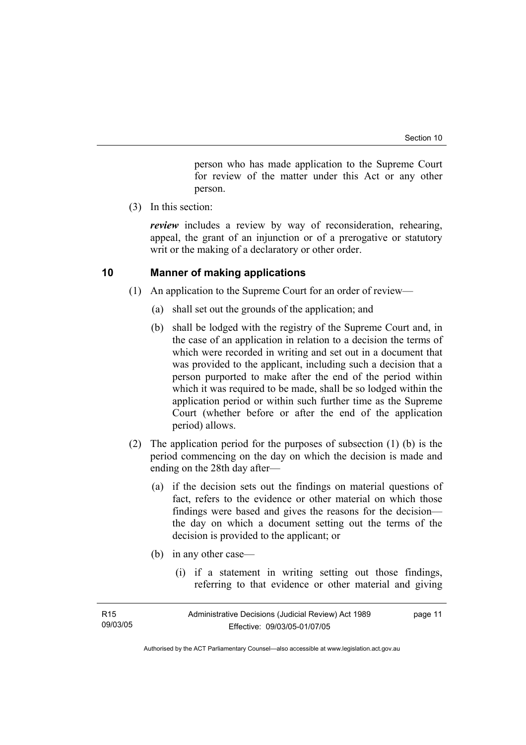person who has made application to the Supreme Court for review of the matter under this Act or any other person.

(3) In this section:

*review* includes a review by way of reconsideration, rehearing, appeal, the grant of an injunction or of a prerogative or statutory writ or the making of a declaratory or other order.

# **10 Manner of making applications**

- (1) An application to the Supreme Court for an order of review—
	- (a) shall set out the grounds of the application; and
	- (b) shall be lodged with the registry of the Supreme Court and, in the case of an application in relation to a decision the terms of which were recorded in writing and set out in a document that was provided to the applicant, including such a decision that a person purported to make after the end of the period within which it was required to be made, shall be so lodged within the application period or within such further time as the Supreme Court (whether before or after the end of the application period) allows.
- (2) The application period for the purposes of subsection (1) (b) is the period commencing on the day on which the decision is made and ending on the 28th day after—
	- (a) if the decision sets out the findings on material questions of fact, refers to the evidence or other material on which those findings were based and gives the reasons for the decision the day on which a document setting out the terms of the decision is provided to the applicant; or
	- (b) in any other case—
		- (i) if a statement in writing setting out those findings, referring to that evidence or other material and giving

| R <sub>15</sub> | Administrative Decisions (Judicial Review) Act 1989 | page 11 |
|-----------------|-----------------------------------------------------|---------|
| 09/03/05        | Effective: 09/03/05-01/07/05                        |         |
|                 |                                                     |         |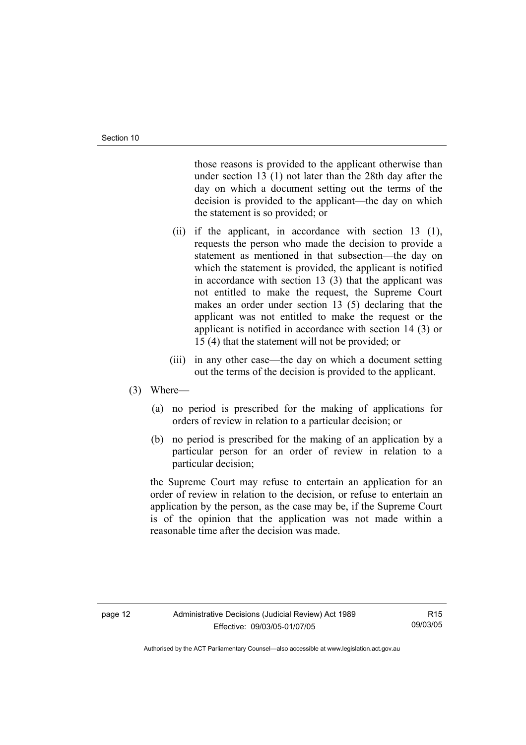those reasons is provided to the applicant otherwise than under section 13 (1) not later than the 28th day after the day on which a document setting out the terms of the decision is provided to the applicant—the day on which the statement is so provided; or

- (ii) if the applicant, in accordance with section 13 (1), requests the person who made the decision to provide a statement as mentioned in that subsection—the day on which the statement is provided, the applicant is notified in accordance with section 13 (3) that the applicant was not entitled to make the request, the Supreme Court makes an order under section 13 (5) declaring that the applicant was not entitled to make the request or the applicant is notified in accordance with section 14 (3) or 15 (4) that the statement will not be provided; or
- (iii) in any other case—the day on which a document setting out the terms of the decision is provided to the applicant.

### (3) Where—

- (a) no period is prescribed for the making of applications for orders of review in relation to a particular decision; or
- (b) no period is prescribed for the making of an application by a particular person for an order of review in relation to a particular decision;

the Supreme Court may refuse to entertain an application for an order of review in relation to the decision, or refuse to entertain an application by the person, as the case may be, if the Supreme Court is of the opinion that the application was not made within a reasonable time after the decision was made.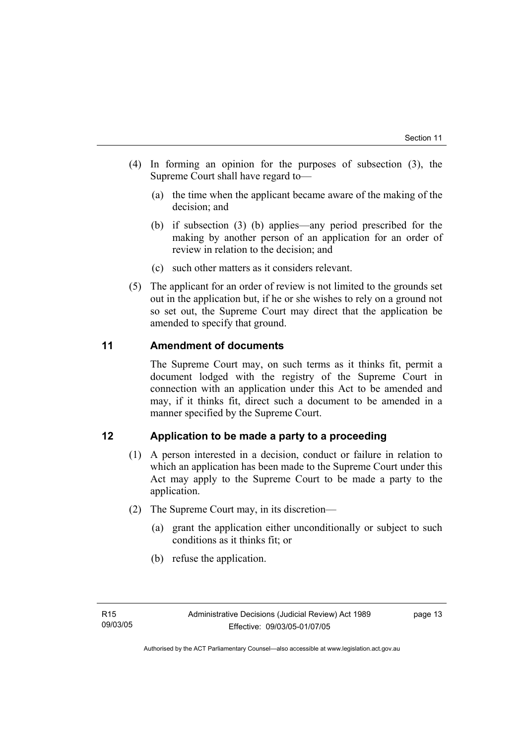- (4) In forming an opinion for the purposes of subsection (3), the Supreme Court shall have regard to—
	- (a) the time when the applicant became aware of the making of the decision; and
	- (b) if subsection (3) (b) applies—any period prescribed for the making by another person of an application for an order of review in relation to the decision; and
	- (c) such other matters as it considers relevant.
- (5) The applicant for an order of review is not limited to the grounds set out in the application but, if he or she wishes to rely on a ground not so set out, the Supreme Court may direct that the application be amended to specify that ground.

# **11 Amendment of documents**

The Supreme Court may, on such terms as it thinks fit, permit a document lodged with the registry of the Supreme Court in connection with an application under this Act to be amended and may, if it thinks fit, direct such a document to be amended in a manner specified by the Supreme Court.

# **12 Application to be made a party to a proceeding**

- (1) A person interested in a decision, conduct or failure in relation to which an application has been made to the Supreme Court under this Act may apply to the Supreme Court to be made a party to the application.
- (2) The Supreme Court may, in its discretion—
	- (a) grant the application either unconditionally or subject to such conditions as it thinks fit; or
	- (b) refuse the application.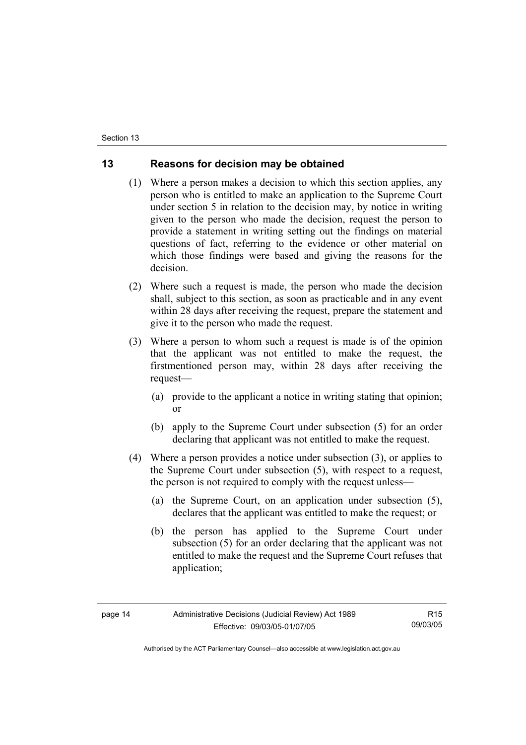# **13 Reasons for decision may be obtained**

- (1) Where a person makes a decision to which this section applies, any person who is entitled to make an application to the Supreme Court under section 5 in relation to the decision may, by notice in writing given to the person who made the decision, request the person to provide a statement in writing setting out the findings on material questions of fact, referring to the evidence or other material on which those findings were based and giving the reasons for the decision.
- (2) Where such a request is made, the person who made the decision shall, subject to this section, as soon as practicable and in any event within 28 days after receiving the request, prepare the statement and give it to the person who made the request.
- (3) Where a person to whom such a request is made is of the opinion that the applicant was not entitled to make the request, the firstmentioned person may, within 28 days after receiving the request—
	- (a) provide to the applicant a notice in writing stating that opinion; or
	- (b) apply to the Supreme Court under subsection (5) for an order declaring that applicant was not entitled to make the request.
- (4) Where a person provides a notice under subsection (3), or applies to the Supreme Court under subsection (5), with respect to a request, the person is not required to comply with the request unless—
	- (a) the Supreme Court, on an application under subsection (5), declares that the applicant was entitled to make the request; or
	- (b) the person has applied to the Supreme Court under subsection (5) for an order declaring that the applicant was not entitled to make the request and the Supreme Court refuses that application;

R15 09/03/05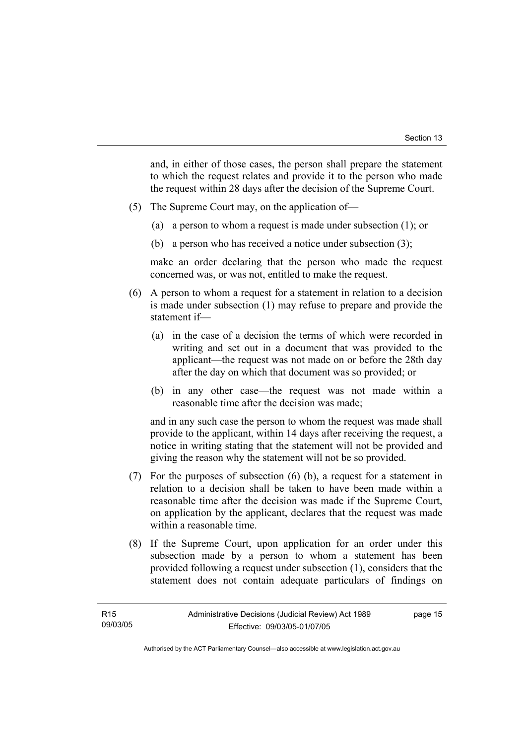and, in either of those cases, the person shall prepare the statement to which the request relates and provide it to the person who made the request within 28 days after the decision of the Supreme Court.

- (5) The Supreme Court may, on the application of—
	- (a) a person to whom a request is made under subsection (1); or
	- (b) a person who has received a notice under subsection (3);

make an order declaring that the person who made the request concerned was, or was not, entitled to make the request.

- (6) A person to whom a request for a statement in relation to a decision is made under subsection (1) may refuse to prepare and provide the statement if—
	- (a) in the case of a decision the terms of which were recorded in writing and set out in a document that was provided to the applicant—the request was not made on or before the 28th day after the day on which that document was so provided; or
	- (b) in any other case—the request was not made within a reasonable time after the decision was made;

and in any such case the person to whom the request was made shall provide to the applicant, within 14 days after receiving the request, a notice in writing stating that the statement will not be provided and giving the reason why the statement will not be so provided.

- (7) For the purposes of subsection (6) (b), a request for a statement in relation to a decision shall be taken to have been made within a reasonable time after the decision was made if the Supreme Court, on application by the applicant, declares that the request was made within a reasonable time.
- (8) If the Supreme Court, upon application for an order under this subsection made by a person to whom a statement has been provided following a request under subsection (1), considers that the statement does not contain adequate particulars of findings on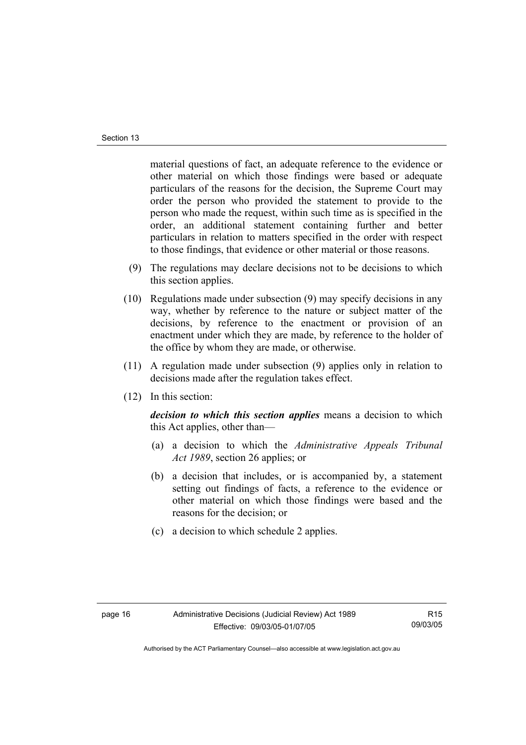material questions of fact, an adequate reference to the evidence or other material on which those findings were based or adequate particulars of the reasons for the decision, the Supreme Court may order the person who provided the statement to provide to the person who made the request, within such time as is specified in the order, an additional statement containing further and better particulars in relation to matters specified in the order with respect to those findings, that evidence or other material or those reasons.

- (9) The regulations may declare decisions not to be decisions to which this section applies.
- (10) Regulations made under subsection (9) may specify decisions in any way, whether by reference to the nature or subject matter of the decisions, by reference to the enactment or provision of an enactment under which they are made, by reference to the holder of the office by whom they are made, or otherwise.
- (11) A regulation made under subsection (9) applies only in relation to decisions made after the regulation takes effect.
- (12) In this section:

*decision to which this section applies* means a decision to which this Act applies, other than—

- (a) a decision to which the *Administrative Appeals Tribunal Act 1989*, section 26 applies; or
- (b) a decision that includes, or is accompanied by, a statement setting out findings of facts, a reference to the evidence or other material on which those findings were based and the reasons for the decision; or
- (c) a decision to which schedule 2 applies.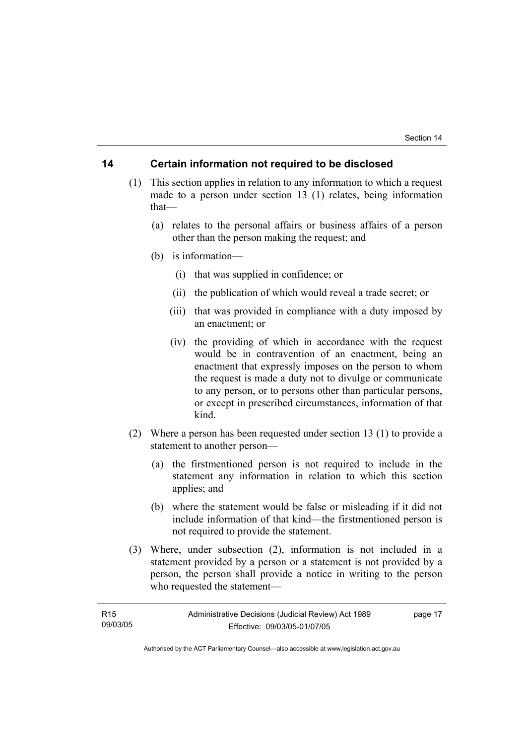# **14 Certain information not required to be disclosed**

- (1) This section applies in relation to any information to which a request made to a person under section 13 (1) relates, being information that—
	- (a) relates to the personal affairs or business affairs of a person other than the person making the request; and
	- (b) is information—
		- (i) that was supplied in confidence; or
		- (ii) the publication of which would reveal a trade secret; or
		- (iii) that was provided in compliance with a duty imposed by an enactment; or
		- (iv) the providing of which in accordance with the request would be in contravention of an enactment, being an enactment that expressly imposes on the person to whom the request is made a duty not to divulge or communicate to any person, or to persons other than particular persons, or except in prescribed circumstances, information of that kind.
- (2) Where a person has been requested under section 13 (1) to provide a statement to another person—
	- (a) the firstmentioned person is not required to include in the statement any information in relation to which this section applies; and
	- (b) where the statement would be false or misleading if it did not include information of that kind—the firstmentioned person is not required to provide the statement.
- (3) Where, under subsection (2), information is not included in a statement provided by a person or a statement is not provided by a person, the person shall provide a notice in writing to the person who requested the statement—

| R <sub>15</sub> | Administrative Decisions (Judicial Review) Act 1989 | page 17 |
|-----------------|-----------------------------------------------------|---------|
| 09/03/05        | Effective: 09/03/05-01/07/05                        |         |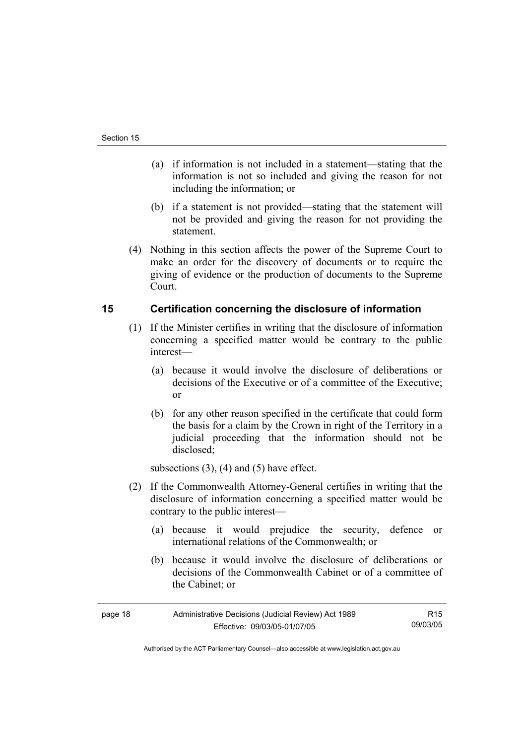- (a) if information is not included in a statement—stating that the information is not so included and giving the reason for not including the information; or
- (b) if a statement is not provided—stating that the statement will not be provided and giving the reason for not providing the statement.
- (4) Nothing in this section affects the power of the Supreme Court to make an order for the discovery of documents or to require the giving of evidence or the production of documents to the Supreme Court.

# **15 Certification concerning the disclosure of information**

- (1) If the Minister certifies in writing that the disclosure of information concerning a specified matter would be contrary to the public interest—
	- (a) because it would involve the disclosure of deliberations or decisions of the Executive or of a committee of the Executive; or
	- (b) for any other reason specified in the certificate that could form the basis for a claim by the Crown in right of the Territory in a judicial proceeding that the information should not be disclosed;

subsections  $(3)$ ,  $(4)$  and  $(5)$  have effect.

- (2) If the Commonwealth Attorney-General certifies in writing that the disclosure of information concerning a specified matter would be contrary to the public interest—
	- (a) because it would prejudice the security, defence or international relations of the Commonwealth; or
	- (b) because it would involve the disclosure of deliberations or decisions of the Commonwealth Cabinet or of a committee of the Cabinet; or

| page 18 | Administrative Decisions (Judicial Review) Act 1989 | R <sub>15</sub> |
|---------|-----------------------------------------------------|-----------------|
|         | Effective: 09/03/05-01/07/05                        | 09/03/05        |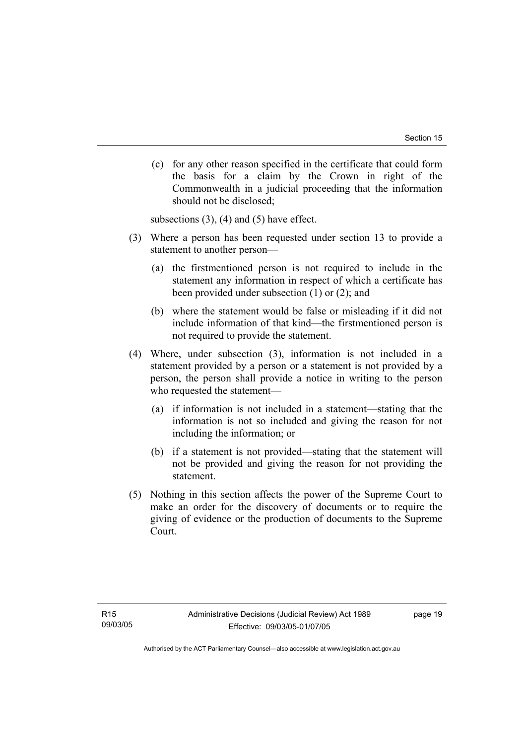(c) for any other reason specified in the certificate that could form the basis for a claim by the Crown in right of the Commonwealth in a judicial proceeding that the information should not be disclosed;

subsections  $(3)$ ,  $(4)$  and  $(5)$  have effect.

- (3) Where a person has been requested under section 13 to provide a statement to another person—
	- (a) the firstmentioned person is not required to include in the statement any information in respect of which a certificate has been provided under subsection (1) or (2); and
	- (b) where the statement would be false or misleading if it did not include information of that kind—the firstmentioned person is not required to provide the statement.
- (4) Where, under subsection (3), information is not included in a statement provided by a person or a statement is not provided by a person, the person shall provide a notice in writing to the person who requested the statement—
	- (a) if information is not included in a statement—stating that the information is not so included and giving the reason for not including the information; or
	- (b) if a statement is not provided—stating that the statement will not be provided and giving the reason for not providing the statement.
- (5) Nothing in this section affects the power of the Supreme Court to make an order for the discovery of documents or to require the giving of evidence or the production of documents to the Supreme Court.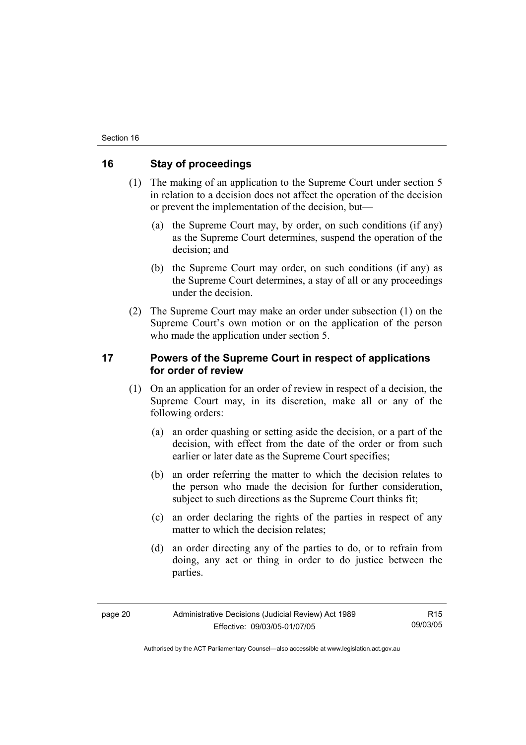# **16 Stay of proceedings**

- (1) The making of an application to the Supreme Court under section 5 in relation to a decision does not affect the operation of the decision or prevent the implementation of the decision, but—
	- (a) the Supreme Court may, by order, on such conditions (if any) as the Supreme Court determines, suspend the operation of the decision; and
	- (b) the Supreme Court may order, on such conditions (if any) as the Supreme Court determines, a stay of all or any proceedings under the decision.
- (2) The Supreme Court may make an order under subsection (1) on the Supreme Court's own motion or on the application of the person who made the application under section 5.

# **17 Powers of the Supreme Court in respect of applications for order of review**

- (1) On an application for an order of review in respect of a decision, the Supreme Court may, in its discretion, make all or any of the following orders:
	- (a) an order quashing or setting aside the decision, or a part of the decision, with effect from the date of the order or from such earlier or later date as the Supreme Court specifies;
	- (b) an order referring the matter to which the decision relates to the person who made the decision for further consideration, subject to such directions as the Supreme Court thinks fit:
	- (c) an order declaring the rights of the parties in respect of any matter to which the decision relates:
	- (d) an order directing any of the parties to do, or to refrain from doing, any act or thing in order to do justice between the parties.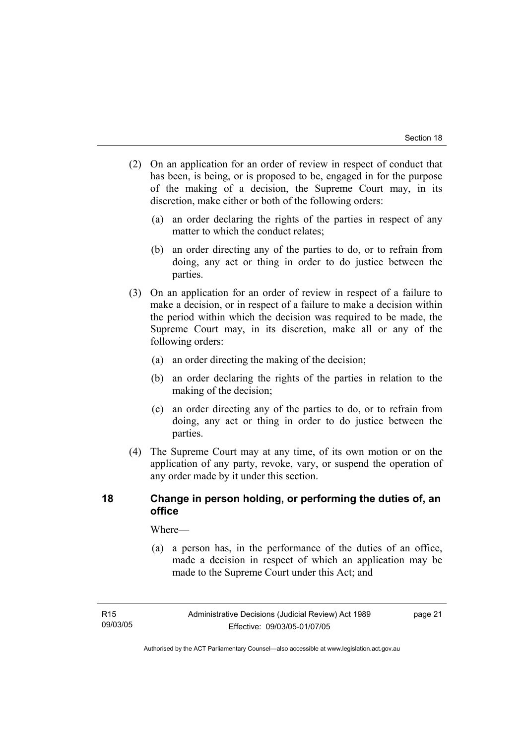- (2) On an application for an order of review in respect of conduct that has been, is being, or is proposed to be, engaged in for the purpose of the making of a decision, the Supreme Court may, in its discretion, make either or both of the following orders:
	- (a) an order declaring the rights of the parties in respect of any matter to which the conduct relates;
	- (b) an order directing any of the parties to do, or to refrain from doing, any act or thing in order to do justice between the parties.
- (3) On an application for an order of review in respect of a failure to make a decision, or in respect of a failure to make a decision within the period within which the decision was required to be made, the Supreme Court may, in its discretion, make all or any of the following orders:
	- (a) an order directing the making of the decision;
	- (b) an order declaring the rights of the parties in relation to the making of the decision;
	- (c) an order directing any of the parties to do, or to refrain from doing, any act or thing in order to do justice between the parties.
- (4) The Supreme Court may at any time, of its own motion or on the application of any party, revoke, vary, or suspend the operation of any order made by it under this section.

# **18 Change in person holding, or performing the duties of, an office**

Where—

 (a) a person has, in the performance of the duties of an office, made a decision in respect of which an application may be made to the Supreme Court under this Act; and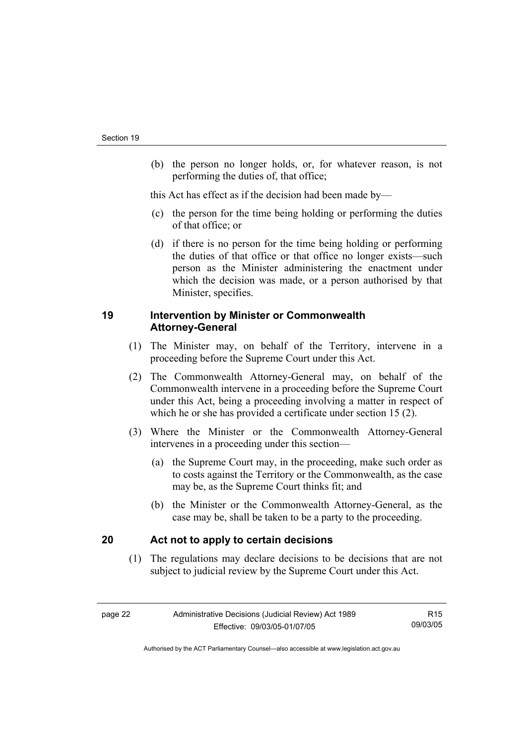(b) the person no longer holds, or, for whatever reason, is not performing the duties of, that office;

this Act has effect as if the decision had been made by—

- (c) the person for the time being holding or performing the duties of that office; or
- (d) if there is no person for the time being holding or performing the duties of that office or that office no longer exists—such person as the Minister administering the enactment under which the decision was made, or a person authorised by that Minister, specifies.

# **19 Intervention by Minister or Commonwealth Attorney-General**

- (1) The Minister may, on behalf of the Territory, intervene in a proceeding before the Supreme Court under this Act.
- (2) The Commonwealth Attorney-General may, on behalf of the Commonwealth intervene in a proceeding before the Supreme Court under this Act, being a proceeding involving a matter in respect of which he or she has provided a certificate under section 15 (2).
- (3) Where the Minister or the Commonwealth Attorney-General intervenes in a proceeding under this section—
	- (a) the Supreme Court may, in the proceeding, make such order as to costs against the Territory or the Commonwealth, as the case may be, as the Supreme Court thinks fit; and
	- (b) the Minister or the Commonwealth Attorney-General, as the case may be, shall be taken to be a party to the proceeding.

# **20 Act not to apply to certain decisions**

 (1) The regulations may declare decisions to be decisions that are not subject to judicial review by the Supreme Court under this Act.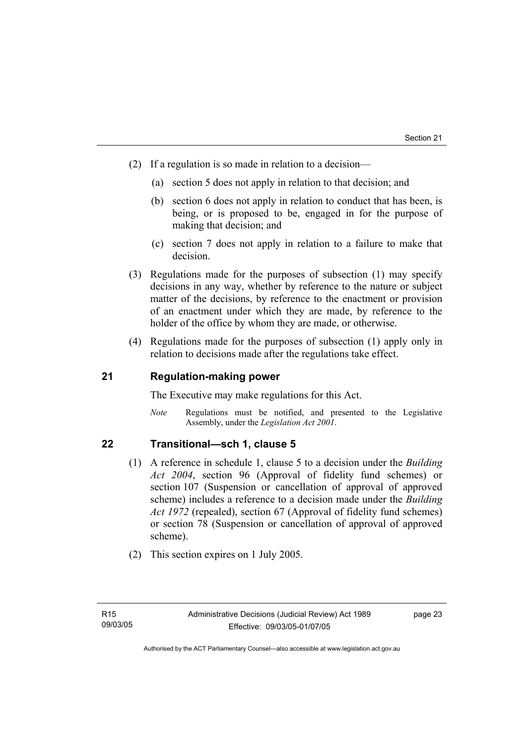- (2) If a regulation is so made in relation to a decision—
	- (a) section 5 does not apply in relation to that decision; and
	- (b) section 6 does not apply in relation to conduct that has been, is being, or is proposed to be, engaged in for the purpose of making that decision; and
	- (c) section 7 does not apply in relation to a failure to make that decision.
- (3) Regulations made for the purposes of subsection (1) may specify decisions in any way, whether by reference to the nature or subject matter of the decisions, by reference to the enactment or provision of an enactment under which they are made, by reference to the holder of the office by whom they are made, or otherwise.
- (4) Regulations made for the purposes of subsection (1) apply only in relation to decisions made after the regulations take effect.

# **21 Regulation-making power**

The Executive may make regulations for this Act.

*Note* Regulations must be notified, and presented to the Legislative Assembly, under the *Legislation Act 2001*.

# **22 Transitional—sch 1, clause 5**

- (1) A reference in schedule 1, clause 5 to a decision under the *Building Act 2004*, section 96 (Approval of fidelity fund schemes) or section 107 (Suspension or cancellation of approval of approved scheme) includes a reference to a decision made under the *Building Act 1972* (repealed), section 67 (Approval of fidelity fund schemes) or section 78 (Suspension or cancellation of approval of approved scheme).
- (2) This section expires on 1 July 2005.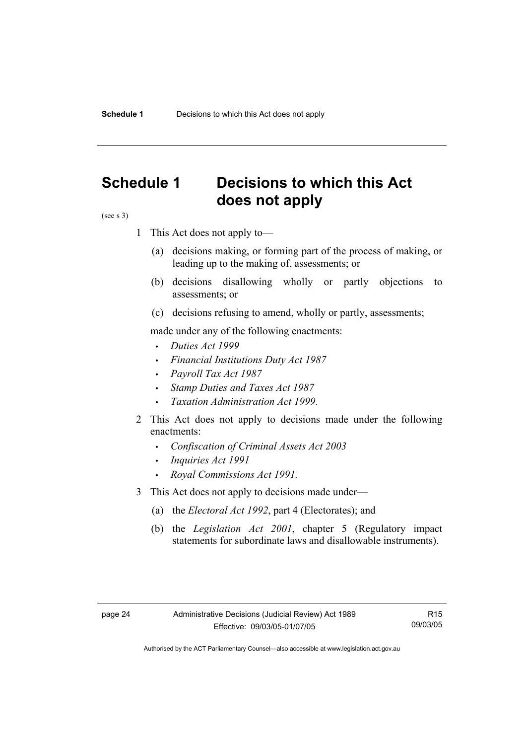# **Schedule 1 Decisions to which this Act does not apply**

(see s 3)

- 1 This Act does not apply to—
	- (a) decisions making, or forming part of the process of making, or leading up to the making of, assessments; or
	- (b) decisions disallowing wholly or partly objections to assessments; or
	- (c) decisions refusing to amend, wholly or partly, assessments;

made under any of the following enactments:

- *Duties Act 1999*
- *Financial Institutions Duty Act 1987*
- *Payroll Tax Act 1987*
- *Stamp Duties and Taxes Act 1987*
- *Taxation Administration Act 1999*.
- 2 This Act does not apply to decisions made under the following enactments:
	- *Confiscation of Criminal Assets Act 2003*
	- *Inquiries Act 1991*
	- *Royal Commissions Act 1991.*
- 3 This Act does not apply to decisions made under—
	- (a) the *Electoral Act 1992*, part 4 (Electorates); and
	- (b) the *Legislation Act 2001*, chapter 5 (Regulatory impact statements for subordinate laws and disallowable instruments).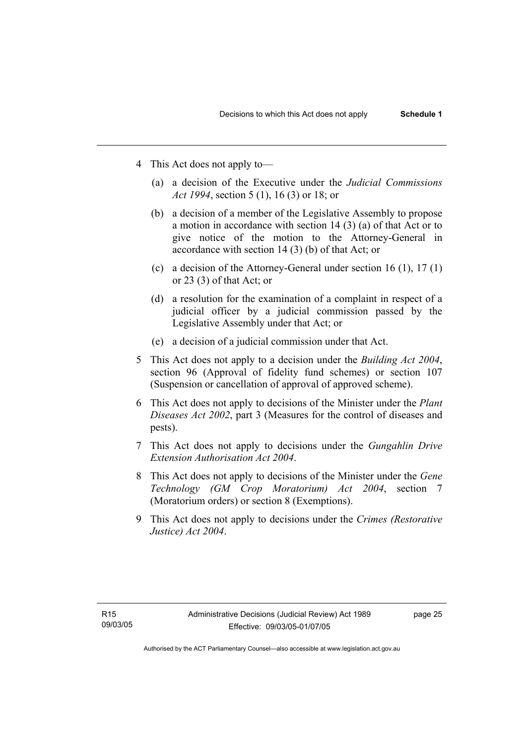- 4 This Act does not apply to—
	- (a) a decision of the Executive under the *Judicial Commissions Act 1994*, section 5 (1), 16 (3) or 18; or
	- (b) a decision of a member of the Legislative Assembly to propose a motion in accordance with section 14 (3) (a) of that Act or to give notice of the motion to the Attorney-General in accordance with section 14 (3) (b) of that Act; or
	- (c) a decision of the Attorney-General under section 16 (1), 17 (1) or 23 (3) of that Act; or
	- (d) a resolution for the examination of a complaint in respect of a judicial officer by a judicial commission passed by the Legislative Assembly under that Act; or
	- (e) a decision of a judicial commission under that Act .
- 5 This Act does not apply to a decision under the *Building Act 2004*, section 96 (Approval of fidelity fund schemes) or section 107 (Suspension or cancellation of approval of approved scheme).
- 6 This Act does not apply to decisions of the Minister under the *Plant Diseases Act 2002*, part 3 (Measures for the control of diseases and pests).
- 7 This Act does not apply to decisions under the *Gungahlin Drive Extension Authorisation Act 2004*.
- 8 This Act does not apply to decisions of the Minister under the *Gene Technology (GM Crop Moratorium) Act 2004*, section 7 (Moratorium orders) or section 8 (Exemptions).
- 9 This Act does not apply to decisions under the *Crimes (Restorative Justice) Act 2004*.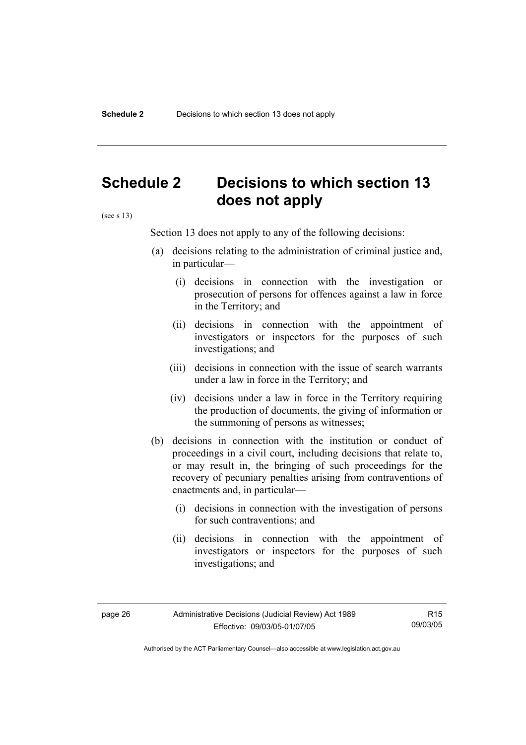# **Schedule 2 Decisions to which section 13 does not apply**

(see s 13)

Section 13 does not apply to any of the following decisions:

- (a) decisions relating to the administration of criminal justice and, in particular—
	- (i) decisions in connection with the investigation or prosecution of persons for offences against a law in force in the Territory; and
	- (ii) decisions in connection with the appointment of investigators or inspectors for the purposes of such investigations; and
	- (iii) decisions in connection with the issue of search warrants under a law in force in the Territory; and
	- (iv) decisions under a law in force in the Territory requiring the production of documents, the giving of information or the summoning of persons as witnesses;
- (b) decisions in connection with the institution or conduct of proceedings in a civil court, including decisions that relate to, or may result in, the bringing of such proceedings for the recovery of pecuniary penalties arising from contraventions of enactments and, in particular—
	- (i) decisions in connection with the investigation of persons for such contraventions; and
	- (ii) decisions in connection with the appointment of investigators or inspectors for the purposes of such investigations; and

R15 09/03/05

Authorised by the ACT Parliamentary Counsel—also accessible at www.legislation.act.gov.au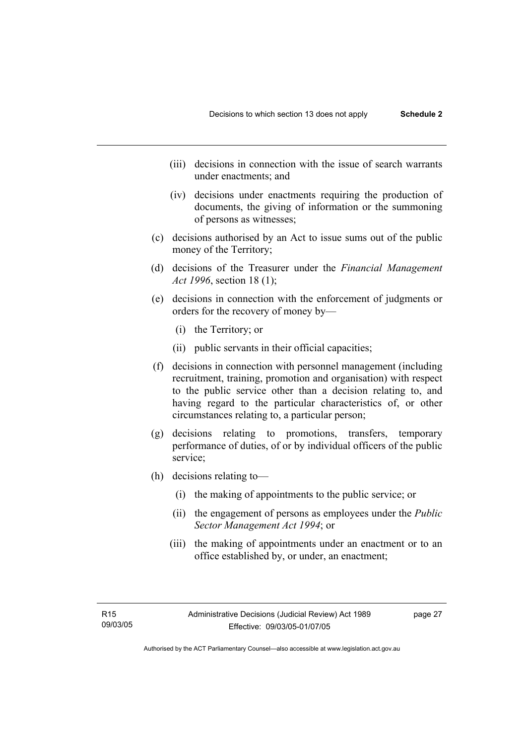- (iii) decisions in connection with the issue of search warrants under enactments; and
- (iv) decisions under enactments requiring the production of documents, the giving of information or the summoning of persons as witnesses;
- (c) decisions authorised by an Act to issue sums out of the public money of the Territory;
- (d) decisions of the Treasurer under the *Financial Management Act 1996*, section 18 (1);
- (e) decisions in connection with the enforcement of judgments or orders for the recovery of money by—
	- (i) the Territory; or
	- (ii) public servants in their official capacities;
- (f) decisions in connection with personnel management (including recruitment, training, promotion and organisation) with respect to the public service other than a decision relating to, and having regard to the particular characteristics of, or other circumstances relating to, a particular person;
- (g) decisions relating to promotions, transfers, temporary performance of duties, of or by individual officers of the public service;
- (h) decisions relating to—
	- (i) the making of appointments to the public service; or
	- (ii) the engagement of persons as employees under the *Public Sector Management Act 1994*; or
	- (iii) the making of appointments under an enactment or to an office established by, or under, an enactment;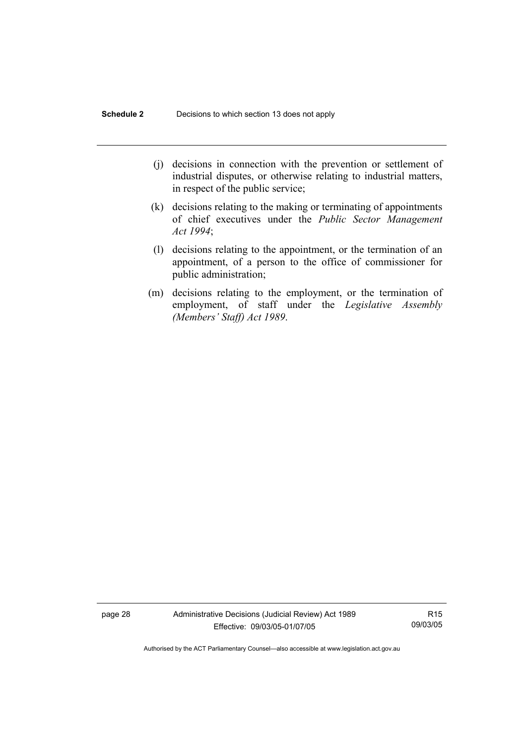- (j) decisions in connection with the prevention or settlement of industrial disputes, or otherwise relating to industrial matters, in respect of the public service;
- (k) decisions relating to the making or terminating of appointments of chief executives under the *Public Sector Management Act 1994*;
- (l) decisions relating to the appointment, or the termination of an appointment, of a person to the office of commissioner for public administration;
- (m) decisions relating to the employment, or the termination of employment, of staff under the *Legislative Assembly (Members' Staff) Act 1989*.

page 28 Administrative Decisions (Judicial Review) Act 1989 Effective: 09/03/05-01/07/05

R15 09/03/05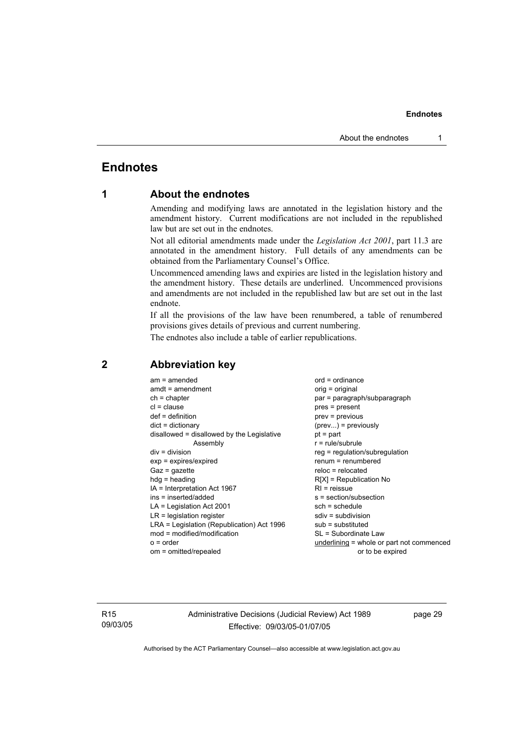# **Endnotes**

# **1 About the endnotes**

Amending and modifying laws are annotated in the legislation history and the amendment history. Current modifications are not included in the republished law but are set out in the endnotes.

Not all editorial amendments made under the *Legislation Act 2001*, part 11.3 are annotated in the amendment history. Full details of any amendments can be obtained from the Parliamentary Counsel's Office.

Uncommenced amending laws and expiries are listed in the legislation history and the amendment history. These details are underlined. Uncommenced provisions and amendments are not included in the republished law but are set out in the last endnote.

If all the provisions of the law have been renumbered, a table of renumbered provisions gives details of previous and current numbering.

The endnotes also include a table of earlier republications.

| $am = amended$<br>$amdt = amendment$<br>$ch = chapter$<br>$cl = clause$<br>$def = definition$<br>$dict = dictionary$<br>disallowed = disallowed by the Legislative<br>Assembly<br>$div = division$<br>$exp = expires/expired$<br>$Gaz = gazette$<br>$h dq =$ heading<br>$IA = Interpretation Act 1967$ | $ord = ordinance$<br>orig = original<br>par = paragraph/subparagraph<br>$pres = present$<br>$prev = previous$<br>$(\text{prev})$ = previously<br>$pt = part$<br>$r = rule/subrule$<br>reg = regulation/subregulation<br>$renum = renumbered$<br>$reloc = relocated$<br>$R[X]$ = Republication No<br>$RI =$ reissue |
|--------------------------------------------------------------------------------------------------------------------------------------------------------------------------------------------------------------------------------------------------------------------------------------------------------|--------------------------------------------------------------------------------------------------------------------------------------------------------------------------------------------------------------------------------------------------------------------------------------------------------------------|
|                                                                                                                                                                                                                                                                                                        |                                                                                                                                                                                                                                                                                                                    |
| ins = inserted/added                                                                                                                                                                                                                                                                                   | s = section/subsection                                                                                                                                                                                                                                                                                             |
| $LA =$ Legislation Act 2001                                                                                                                                                                                                                                                                            | $sch = schedule$                                                                                                                                                                                                                                                                                                   |
| $LR =$ legislation register                                                                                                                                                                                                                                                                            | $sdiv = subdivision$                                                                                                                                                                                                                                                                                               |
| LRA = Legislation (Republication) Act 1996                                                                                                                                                                                                                                                             | $sub =$ substituted                                                                                                                                                                                                                                                                                                |
| $mod = modified/modification$                                                                                                                                                                                                                                                                          | SL = Subordinate Law                                                                                                                                                                                                                                                                                               |
| $o = order$                                                                                                                                                                                                                                                                                            | underlining = whole or part not commenced                                                                                                                                                                                                                                                                          |
| om = omitted/repealed                                                                                                                                                                                                                                                                                  | or to be expired                                                                                                                                                                                                                                                                                                   |

# **2 Abbreviation key**

R15 09/03/05 Administrative Decisions (Judicial Review) Act 1989 Effective: 09/03/05-01/07/05

page 29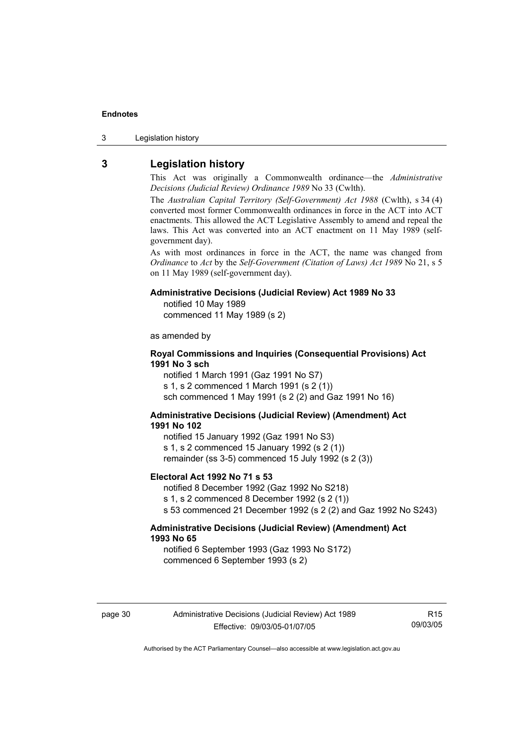3 Legislation history

# **3 Legislation history**

This Act was originally a Commonwealth ordinance—the *Administrative Decisions (Judicial Review) Ordinance 1989* No 33 (Cwlth).

The *Australian Capital Territory (Self-Government) Act 1988* (Cwlth), s 34 (4) converted most former Commonwealth ordinances in force in the ACT into ACT enactments. This allowed the ACT Legislative Assembly to amend and repeal the laws. This Act was converted into an ACT enactment on 11 May 1989 (selfgovernment day).

As with most ordinances in force in the ACT, the name was changed from *Ordinance* to *Act* by the *Self-Government (Citation of Laws) Act 1989* No 21, s 5 on 11 May 1989 (self-government day).

### **Administrative Decisions (Judicial Review) Act 1989 No 33**

notified 10 May 1989

commenced 11 May 1989 (s 2)

as amended by

### **Royal Commissions and Inquiries (Consequential Provisions) Act 1991 No 3 sch**

notified 1 March 1991 (Gaz 1991 No S7) s 1, s 2 commenced 1 March 1991 (s 2 (1)) sch commenced 1 May 1991 (s 2 (2) and Gaz 1991 No 16)

### **Administrative Decisions (Judicial Review) (Amendment) Act 1991 No 102**

notified 15 January 1992 (Gaz 1991 No S3) s 1, s 2 commenced 15 January 1992 (s 2 (1)) remainder (ss 3-5) commenced 15 July 1992 (s 2 (3))

#### **Electoral Act 1992 No 71 s 53**

notified 8 December 1992 (Gaz 1992 No S218) s 1, s 2 commenced 8 December 1992 (s 2 (1)) s 53 commenced 21 December 1992 (s 2 (2) and Gaz 1992 No S243)

### **Administrative Decisions (Judicial Review) (Amendment) Act 1993 No 65**

notified 6 September 1993 (Gaz 1993 No S172) commenced 6 September 1993 (s 2)

R15 09/03/05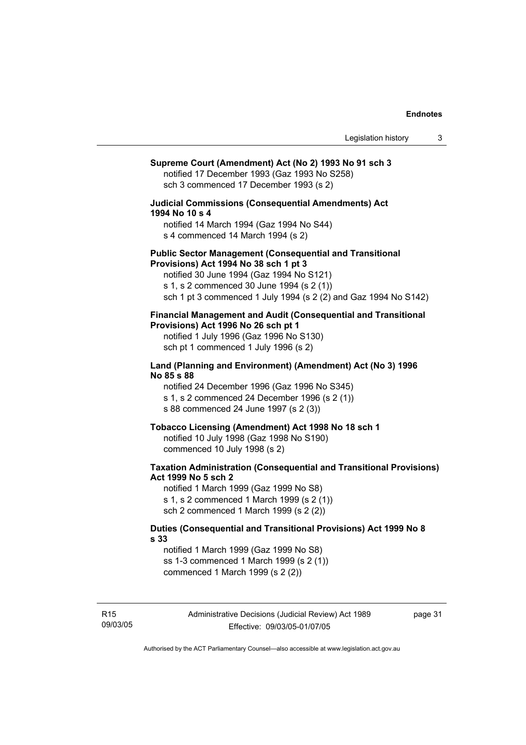# **Supreme Court (Amendment) Act (No 2) 1993 No 91 sch 3**  notified 17 December 1993 (Gaz 1993 No S258) sch 3 commenced 17 December 1993 (s 2) **Judicial Commissions (Consequential Amendments) Act 1994 No 10 s 4**  notified 14 March 1994 (Gaz 1994 No S44) s 4 commenced 14 March 1994 (s 2) **Public Sector Management (Consequential and Transitional Provisions) Act 1994 No 38 sch 1 pt 3**  notified 30 June 1994 (Gaz 1994 No S121) s 1, s 2 commenced 30 June 1994 (s 2 (1)) sch 1 pt 3 commenced 1 July 1994 (s 2 (2) and Gaz 1994 No S142) **Financial Management and Audit (Consequential and Transitional Provisions) Act 1996 No 26 sch pt 1**  notified 1 July 1996 (Gaz 1996 No S130) sch pt 1 commenced 1 July 1996 (s 2) **Land (Planning and Environment) (Amendment) Act (No 3) 1996 No 85 s 88**  notified 24 December 1996 (Gaz 1996 No S345) s 1, s 2 commenced 24 December 1996 (s 2 (1)) s 88 commenced 24 June 1997 (s 2 (3)) **Tobacco Licensing (Amendment) Act 1998 No 18 sch 1**  notified 10 July 1998 (Gaz 1998 No S190) commenced 10 July 1998 (s 2) **Taxation Administration (Consequential and Transitional Provisions) Act 1999 No 5 sch 2**  notified 1 March 1999 (Gaz 1999 No S8) s 1, s 2 commenced 1 March 1999 (s 2 (1)) sch 2 commenced 1 March 1999 (s 2 (2)) **Duties (Consequential and Transitional Provisions) Act 1999 No 8 s 33**  notified 1 March 1999 (Gaz 1999 No S8) ss 1-3 commenced 1 March 1999 (s 2 (1)) commenced 1 March 1999 (s 2 (2))

page 31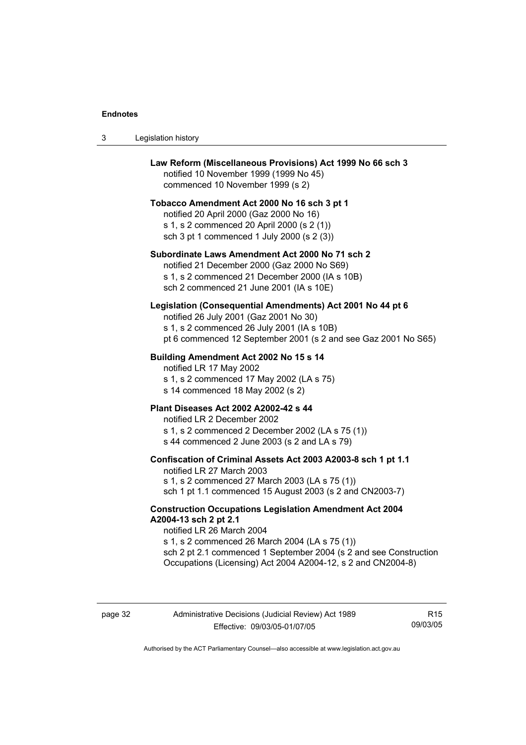3 Legislation history

| Law Reform (Miscellaneous Provisions) Act 1999 No 66 sch 3<br>notified 10 November 1999 (1999 No 45)<br>commenced 10 November 1999 (s 2)                                                                                                                                                                    |
|-------------------------------------------------------------------------------------------------------------------------------------------------------------------------------------------------------------------------------------------------------------------------------------------------------------|
| Tobacco Amendment Act 2000 No 16 sch 3 pt 1<br>notified 20 April 2000 (Gaz 2000 No 16)<br>s 1, s 2 commenced 20 April 2000 (s 2 (1))<br>sch 3 pt 1 commenced 1 July 2000 (s 2 (3))                                                                                                                          |
| Subordinate Laws Amendment Act 2000 No 71 sch 2<br>notified 21 December 2000 (Gaz 2000 No S69)<br>s 1, s 2 commenced 21 December 2000 (IA s 10B)<br>sch 2 commenced 21 June 2001 (IA s 10E)                                                                                                                 |
| Legislation (Consequential Amendments) Act 2001 No 44 pt 6<br>notified 26 July 2001 (Gaz 2001 No 30)<br>s 1, s 2 commenced 26 July 2001 (IA s 10B)<br>pt 6 commenced 12 September 2001 (s 2 and see Gaz 2001 No S65)                                                                                        |
| Building Amendment Act 2002 No 15 s 14<br>notified LR 17 May 2002<br>s 1, s 2 commenced 17 May 2002 (LA s 75)<br>s 14 commenced 18 May 2002 (s 2)                                                                                                                                                           |
| <b>Plant Diseases Act 2002 A2002-42 s 44</b><br>notified LR 2 December 2002<br>s 1, s 2 commenced 2 December 2002 (LA s 75 (1))<br>s 44 commenced 2 June 2003 (s 2 and LA s 79)                                                                                                                             |
| Confiscation of Criminal Assets Act 2003 A2003-8 sch 1 pt 1.1<br>notified LR 27 March 2003<br>s 1, s 2 commenced 27 March 2003 (LA s 75 (1))<br>sch 1 pt 1.1 commenced 15 August 2003 (s 2 and CN2003-7)                                                                                                    |
| <b>Construction Occupations Legislation Amendment Act 2004</b><br>A2004-13 sch 2 pt 2.1<br>notified LR 26 March 2004<br>s 1, s 2 commenced 26 March 2004 (LA s 75 (1))<br>sch 2 pt 2.1 commenced 1 September 2004 (s 2 and see Construction<br>Occupations (Licensing) Act 2004 A2004-12, s 2 and CN2004-8) |

R15 09/03/05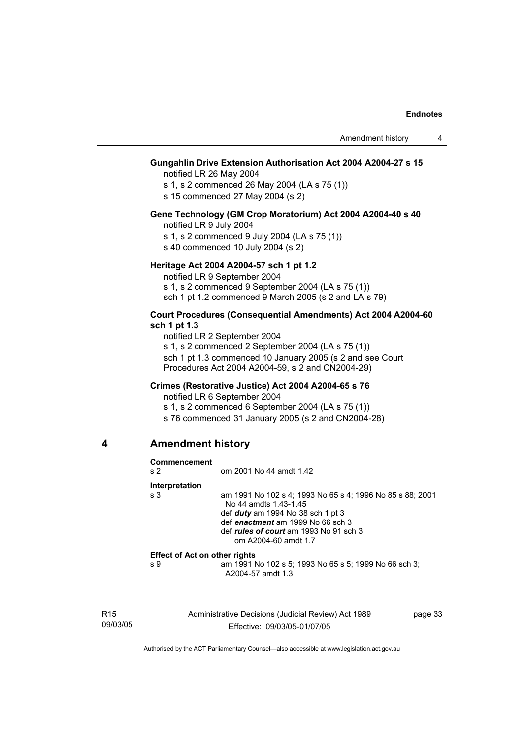## **Gungahlin Drive Extension Authorisation Act 2004 A2004-27 s 15**

notified LR 26 May 2004

s 1, s 2 commenced 26 May 2004 (LA s 75 (1))

s 15 commenced 27 May 2004 (s 2)

### **Gene Technology (GM Crop Moratorium) Act 2004 A2004-40 s 40**

notified LR 9 July 2004

s 1, s 2 commenced 9 July 2004 (LA s 75 (1))

s 40 commenced 10 July 2004 (s 2)

### **Heritage Act 2004 A2004-57 sch 1 pt 1.2**

notified LR 9 September 2004 s 1, s 2 commenced 9 September 2004 (LA s 75 (1)) sch 1 pt 1.2 commenced 9 March 2005 (s 2 and  $LA$  s 79)

### **Court Procedures (Consequential Amendments) Act 2004 A2004-60 sch 1 pt 1.3**

notified LR 2 September 2004 s 1, s 2 commenced 2 September 2004 (LA s 75 (1)) sch 1 pt 1.3 commenced 10 January 2005 (s 2 and see Court Procedures Act 2004 A2004-59, s 2 and CN2004-29)

### **Crimes (Restorative Justice) Act 2004 A2004-65 s 76**

notified LR 6 September 2004

s 1, s 2 commenced 6 September 2004 (LA s 75 (1))

s 76 commenced 31 January 2005 (s 2 and CN2004-28)

### **4 Amendment history**

| Commencement<br>s <sub>2</sub>       | om 2001 No 44 amdt 1.42                                                                                                                                                                                                                 |
|--------------------------------------|-----------------------------------------------------------------------------------------------------------------------------------------------------------------------------------------------------------------------------------------|
| Interpretation                       |                                                                                                                                                                                                                                         |
| s <sub>3</sub>                       | am 1991 No 102 s 4; 1993 No 65 s 4; 1996 No 85 s 88; 2001<br>No 44 amdts 1.43-1.45<br>def $duty$ am 1994 No 38 sch 1 pt 3<br>def enactment am 1999 No 66 sch 3<br>def <i>rules of court</i> am 1993 No 91 sch 3<br>om A2004-60 amdt 1.7 |
| <b>Effect of Act on other rights</b> |                                                                                                                                                                                                                                         |
| s 9                                  | am 1991 No 102 s 5; 1993 No 65 s 5; 1999 No 66 sch 3;<br>A2004-57 amdt 1.3                                                                                                                                                              |
|                                      |                                                                                                                                                                                                                                         |

R15 09/03/05 Administrative Decisions (Judicial Review) Act 1989 Effective: 09/03/05-01/07/05

page 33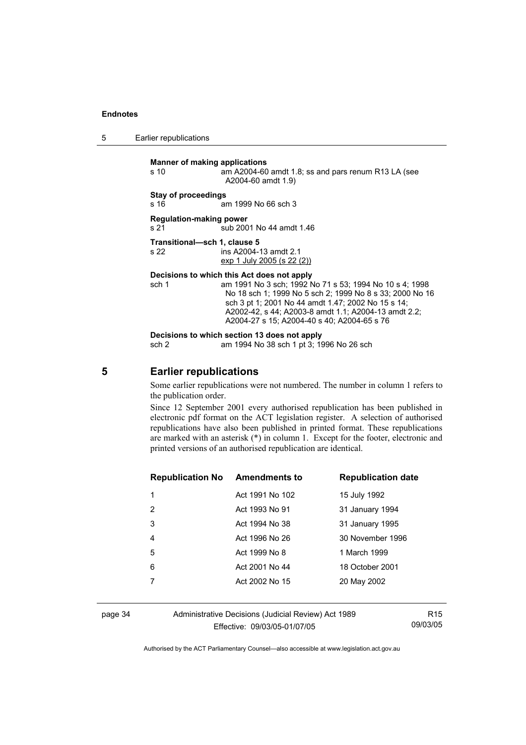5 Earlier republications

**Manner of making applications** 

s 10 am A2004-60 amdt 1.8; ss and pars renum R13 LA (see A2004-60 amdt 1.9)

### **Stay of proceedings**

s 16 am 1999 No 66 sch 3

**Regulation-making power**  s 21 sub 2001 No 44 amdt 1.46

**Transitional—sch 1, clause 5**  s 22 ins A2004-13 amdt 2.1

exp 1 July 2005 (s 22 (2))

### **Decisions to which this Act does not apply**

sch 1 am 1991 No 3 sch; 1992 No 71 s 53; 1994 No 10 s 4; 1998 No 18 sch 1; 1999 No 5 sch 2; 1999 No 8 s 33; 2000 No 16 sch 3 pt 1; 2001 No 44 amdt 1.47; 2002 No 15 s 14; A2002-42, s 44; A2003-8 amdt 1.1; A2004-13 amdt 2.2; A2004-27 s 15; A2004-40 s 40; A2004-65 s 76

**Decisions to which section 13 does not apply** 

sch 2 am 1994 No 38 sch 1 pt 3; 1996 No 26 sch

# **5 Earlier republications**

Some earlier republications were not numbered. The number in column 1 refers to the publication order.

Since 12 September 2001 every authorised republication has been published in electronic pdf format on the ACT legislation register. A selection of authorised republications have also been published in printed format. These republications are marked with an asterisk (\*) in column 1. Except for the footer, electronic and printed versions of an authorised republication are identical.

| <b>Republication No Amendments to</b> |                 | <b>Republication date</b> |
|---------------------------------------|-----------------|---------------------------|
| 1                                     | Act 1991 No 102 | 15 July 1992              |
| 2                                     | Act 1993 No 91  | 31 January 1994           |
| 3                                     | Act 1994 No 38  | 31 January 1995           |
| 4                                     | Act 1996 No 26  | 30 November 1996          |
| 5                                     | Act 1999 No 8   | 1 March 1999              |
| 6                                     | Act 2001 No 44  | 18 October 2001           |
|                                       | Act 2002 No 15  | 20 May 2002               |
|                                       |                 |                           |

page 34 Administrative Decisions (Judicial Review) Act 1989 Effective: 09/03/05-01/07/05

R15 09/03/05